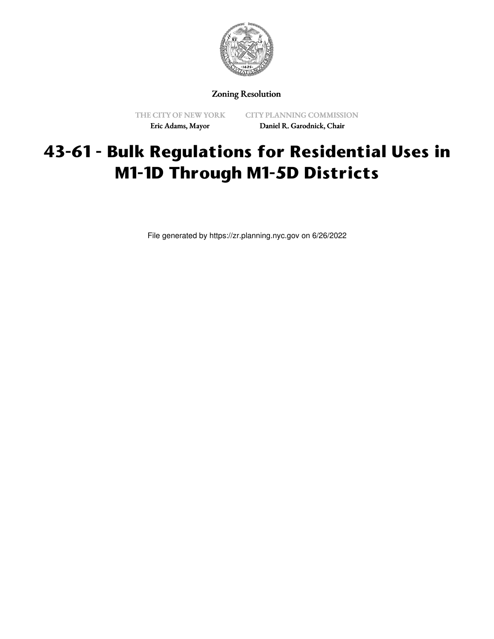

Zoning Resolution

THE CITY OF NEW YORK Eric Adams, Mayor

CITY PLANNING COMMISSION Daniel R. Garodnick, Chair

## **43-61 - Bulk Regulations for Residential Uses in M1-1D Through M1-5D Districts**

File generated by https://zr.planning.nyc.gov on 6/26/2022